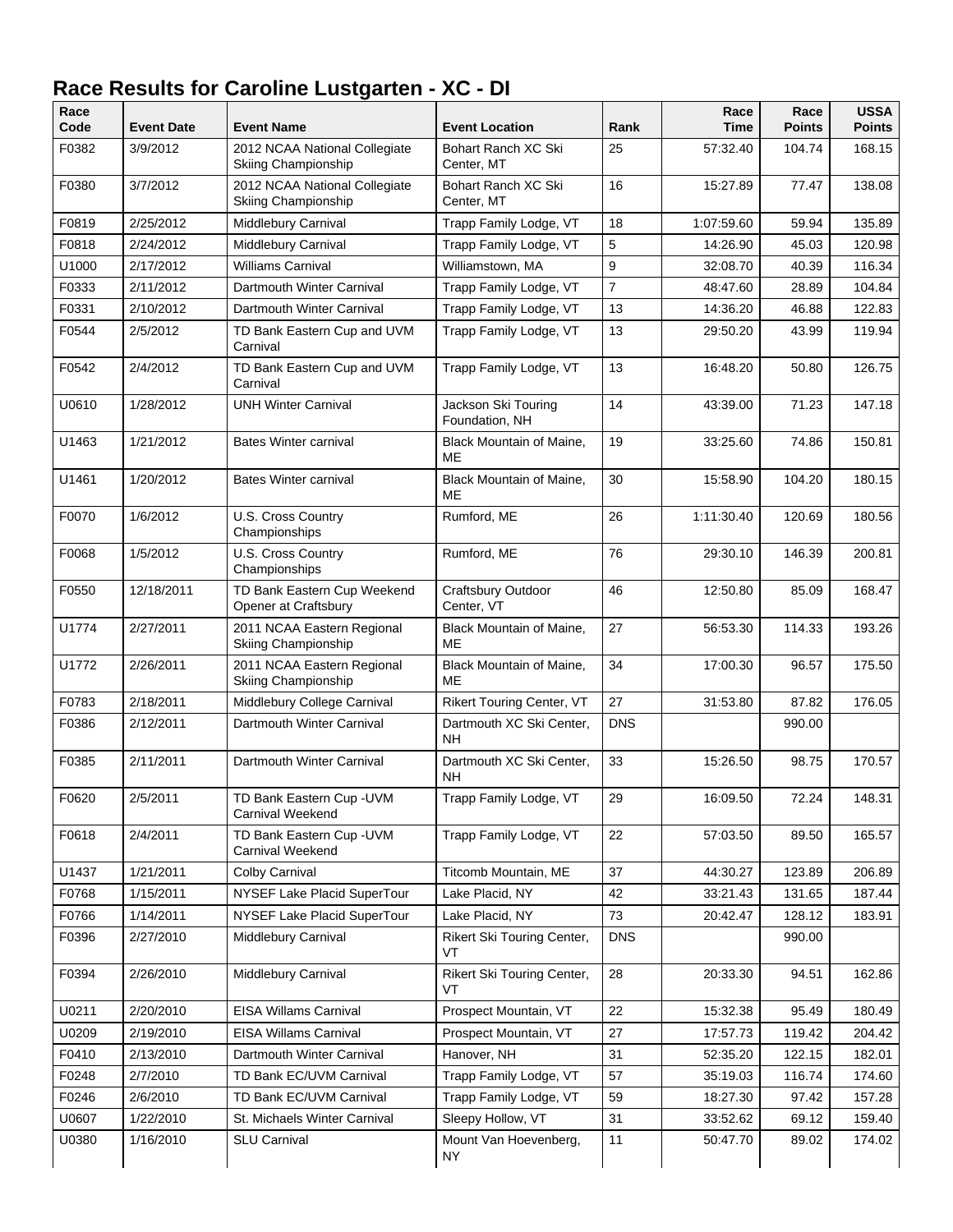| Race<br>Code | <b>Event Date</b> | <b>Event Name</b>                                    | <b>Event Location</b>                 | Rank           | Race<br>Time | Race<br><b>Points</b> | <b>USSA</b><br><b>Points</b> |
|--------------|-------------------|------------------------------------------------------|---------------------------------------|----------------|--------------|-----------------------|------------------------------|
| F0382        | 3/9/2012          | 2012 NCAA National Collegiate<br>Skiing Championship | Bohart Ranch XC Ski<br>Center, MT     | 25             | 57:32.40     | 104.74                | 168.15                       |
| F0380        | 3/7/2012          | 2012 NCAA National Collegiate<br>Skiing Championship | Bohart Ranch XC Ski<br>Center, MT     | 16             | 15:27.89     | 77.47                 | 138.08                       |
| F0819        | 2/25/2012         | Middlebury Carnival                                  | Trapp Family Lodge, VT                | 18             | 1:07:59.60   | 59.94                 | 135.89                       |
| F0818        | 2/24/2012         | Middlebury Carnival                                  | Trapp Family Lodge, VT                | 5              | 14:26.90     | 45.03                 | 120.98                       |
| U1000        | 2/17/2012         | <b>Williams Carnival</b>                             | Williamstown, MA                      | 9              | 32:08.70     | 40.39                 | 116.34                       |
| F0333        | 2/11/2012         | Dartmouth Winter Carnival                            | Trapp Family Lodge, VT                | $\overline{7}$ | 48:47.60     | 28.89                 | 104.84                       |
| F0331        | 2/10/2012         | Dartmouth Winter Carnival                            | Trapp Family Lodge, VT                | 13             | 14:36.20     | 46.88                 | 122.83                       |
| F0544        | 2/5/2012          | TD Bank Eastern Cup and UVM<br>Carnival              | Trapp Family Lodge, VT                | 13             | 29:50.20     | 43.99                 | 119.94                       |
| F0542        | 2/4/2012          | TD Bank Eastern Cup and UVM<br>Carnival              | Trapp Family Lodge, VT                | 13             | 16:48.20     | 50.80                 | 126.75                       |
| U0610        | 1/28/2012         | <b>UNH Winter Carnival</b>                           | Jackson Ski Touring<br>Foundation, NH | 14             | 43:39.00     | 71.23                 | 147.18                       |
| U1463        | 1/21/2012         | <b>Bates Winter carnival</b>                         | Black Mountain of Maine,<br>ME        | 19             | 33:25.60     | 74.86                 | 150.81                       |
| U1461        | 1/20/2012         | <b>Bates Winter carnival</b>                         | Black Mountain of Maine,<br>ME        | 30             | 15:58.90     | 104.20                | 180.15                       |
| F0070        | 1/6/2012          | U.S. Cross Country<br>Championships                  | Rumford, ME                           | 26             | 1:11:30.40   | 120.69                | 180.56                       |
| F0068        | 1/5/2012          | U.S. Cross Country<br>Championships                  | Rumford, ME                           | 76             | 29:30.10     | 146.39                | 200.81                       |
| F0550        | 12/18/2011        | TD Bank Eastern Cup Weekend<br>Opener at Craftsbury  | Craftsbury Outdoor<br>Center, VT      | 46             | 12:50.80     | 85.09                 | 168.47                       |
| U1774        | 2/27/2011         | 2011 NCAA Eastern Regional<br>Skiing Championship    | Black Mountain of Maine,<br>ME        | 27             | 56:53.30     | 114.33                | 193.26                       |
| U1772        | 2/26/2011         | 2011 NCAA Eastern Regional<br>Skiing Championship    | Black Mountain of Maine,<br>ME        | 34             | 17:00.30     | 96.57                 | 175.50                       |
| F0783        | 2/18/2011         | Middlebury College Carnival                          | <b>Rikert Touring Center, VT</b>      | 27             | 31:53.80     | 87.82                 | 176.05                       |
| F0386        | 2/12/2011         | Dartmouth Winter Carnival                            | Dartmouth XC Ski Center,<br><b>NH</b> | <b>DNS</b>     |              | 990.00                |                              |
| F0385        | 2/11/2011         | Dartmouth Winter Carnival                            | Dartmouth XC Ski Center.<br>NΗ        | 33             | 15:26.50     | 98.75                 | 170.57                       |
| F0620        | 2/5/2011          | TD Bank Eastern Cup - UVM<br>Carnival Weekend        | Trapp Family Lodge, VT                | 29             | 16:09.50     | 72.24                 | 148.31                       |
| F0618        | 2/4/2011          | TD Bank Eastern Cup - UVM<br>Carnival Weekend        | Trapp Family Lodge, VT                | 22             | 57:03.50     | 89.50                 | 165.57                       |
| U1437        | 1/21/2011         | Colby Carnival                                       | Titcomb Mountain, ME                  | 37             | 44:30.27     | 123.89                | 206.89                       |
| F0768        | 1/15/2011         | NYSEF Lake Placid SuperTour                          | Lake Placid, NY                       | 42             | 33:21.43     | 131.65                | 187.44                       |
| F0766        | 1/14/2011         | NYSEF Lake Placid SuperTour                          | Lake Placid, NY                       | 73             | 20:42.47     | 128.12                | 183.91                       |
| F0396        | 2/27/2010         | Middlebury Carnival                                  | Rikert Ski Touring Center,<br>VT      | <b>DNS</b>     |              | 990.00                |                              |
| F0394        | 2/26/2010         | Middlebury Carnival                                  | Rikert Ski Touring Center,<br>VT      | 28             | 20:33.30     | 94.51                 | 162.86                       |
| U0211        | 2/20/2010         | <b>EISA Willams Carnival</b>                         | Prospect Mountain, VT                 | 22             | 15:32.38     | 95.49                 | 180.49                       |
| U0209        | 2/19/2010         | <b>EISA Willams Carnival</b>                         | Prospect Mountain, VT                 | 27             | 17:57.73     | 119.42                | 204.42                       |
| F0410        | 2/13/2010         | Dartmouth Winter Carnival                            | Hanover, NH                           | 31             | 52:35.20     | 122.15                | 182.01                       |
| F0248        | 2/7/2010          | TD Bank EC/UVM Carnival                              | Trapp Family Lodge, VT                | 57             | 35:19.03     | 116.74                | 174.60                       |
| F0246        | 2/6/2010          | TD Bank EC/UVM Carnival                              | Trapp Family Lodge, VT                | 59             | 18:27.30     | 97.42                 | 157.28                       |
| U0607        | 1/22/2010         | St. Michaels Winter Carnival                         | Sleepy Hollow, VT                     | 31             | 33:52.62     | 69.12                 | 159.40                       |
| U0380        | 1/16/2010         | <b>SLU Carnival</b>                                  | Mount Van Hoevenberg,<br><b>NY</b>    | 11             | 50:47.70     | 89.02                 | 174.02                       |

## **Race Results for Caroline Lustgarten - XC - DI**